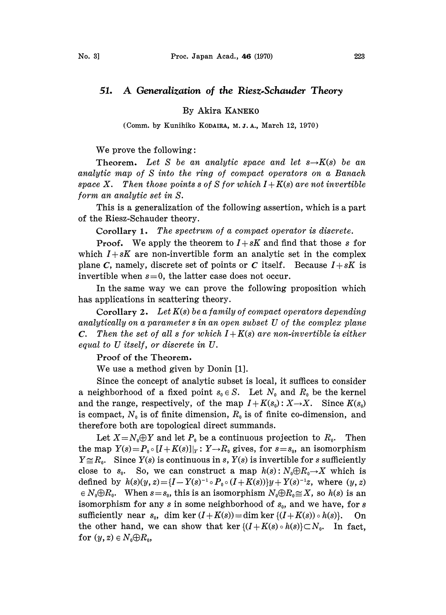## 51. A Generalization of the Riesz-Schauder Theory

By Akira KANEK0

(Comm. by Kunihiko KODAIRA, M.J.A., March 12, 1970)

We prove the following:

**Theorem.** Let S be an analytic space and let  $s \rightarrow K(s)$  be an analytic map of S into the ring of compact operators on a Banach space X. Then those points s of S for which  $I + K(s)$  are not invertible form an analytic set in S.

This is a generalization of the following assertion, which is a part of the Riesz-Schauder theory.

Corollary 1. The spectrum of a compact operator is discrete.

**Proof.** We apply the theorem to  $I + sK$  and find that those s for which  $I + sK$  are non-invertible form an analytic set in the complex plane C, namely, discrete set of points or C itself. Because  $I + sK$  is invertible when  $s=0$ , the latter case does not occur.

In the same way we can prove the following proposition which has applications in scattering theory.

Corollary 2. Let  $K(s)$  be a family of compact operators depending analytically on <sup>a</sup> parameter <sup>s</sup> in an open subset U of the complex plane **C.** Then the set of all s for which  $I + K(s)$  are non-invertible is either equal to U itself, or discrete in U.

Proof of the Theorem.

We use <sup>a</sup> method given by Donin [1].

Since the concept of analytic subset is local, it suffices to consider a neighborhood of a fixed point  $s_0 \in S$ . Let  $N_0$  and  $R_0$  be the kernel and the range, respectively, of the map  $I + K(s_0): X \rightarrow X$ . Since  $K(s_0)$ is compact,  $N_0$  is of finite dimension,  $R_0$  is of finite co-dimension, and therefore both are topological direct summands.

Let  $X=N_0\oplus Y$  and let  $P_0$  be a continuous projection to  $R_0$ . Then the map  $Y(s) = P_0 \circ [I + K(s)]_Y : Y \to R_0$  gives, for  $s = s_0$ , an isomorphism  $Y \cong R_0$ . Since  $Y(s)$  is continuous in s,  $Y(s)$  is invertible for s sufficiently close to  $s_0$ . So, we can construct a map  $h(s) : N_0 \oplus R_0 \to X$  which is So, we can construct a map  $h(s):N_0\oplus R_0\to X$  which is defined by  $h(s)(y, z) = {I - Y(s)^{-1} \circ P_0 \circ (I + K(s))}y + Y(s)^{-1}z$ , where  $(y, z)$  $\in N_0 \oplus R_0$ . When  $s=s_0$ , this is an isomorphism  $N_0 \oplus R_0 \cong X$ , so  $h(s)$  is an isomorphism for any s in some neighborhood of  $s_0$ , and we have, for s sufficiently near  $s_0$ , dim ker  $(I+K(s)) = \dim \ker \{ (I+K(s)) \circ h(s) \}.$  On the other hand, we can show that ker  $\{(I+K(s) \circ h(s))\subset N_0$ . In fact, for  $(y, z) \in N_0 \oplus R_0$ ,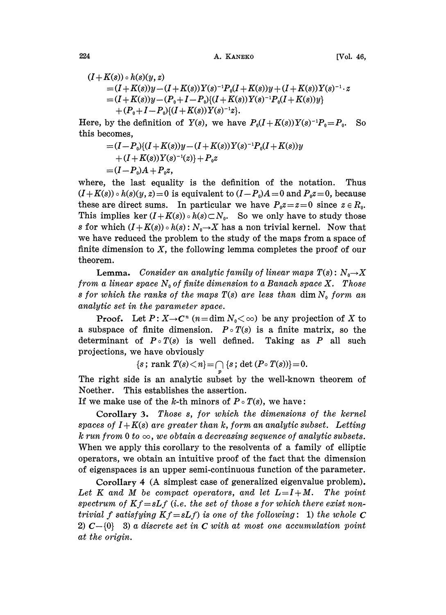224 **A. KANEKO** [Vol. 46,

$$
(I+K(s))\circ h(s)(y, z)
$$
  
= $(I+K(s))y-(I+K(s))Y(s)^{-1}P_0(I+K(s))y+(I+K(s))Y(s)^{-1}\cdot z$   
= $(I+K(s))y-(P_0+I-P_0)\{(I+K(s))Y(s)^{-1}P_0(I+K(s))y\}$   
+ $(P_0+I-P_0)\{(I+K(s))Y(s)^{-1}z\}.$ 

Here, by the definition of  $Y(s)$ , we have  $P_0(I+K(s))Y(s)^{-1}P_0 = P_0$ . So this becomes,

$$
= (I - P_0)\{(I + K(s))y - (I + K(s))Y(s)^{-1}P_0(I + K(s))y + (I + K(s))Y(s)^{-1}(z)\} + P_0 z = (I - P_0)A + P_0 z,
$$

where, the last equality is the definition of the notation. Thus  $(I+K(s)) \circ h(s)(y, z)=0$  is equivalent to  $(I-P_0)A=0$  and  $P_0z=0$ , because these are direct sums. In particular we have  $P_0z=z=0$  since  $z \in R_0$ . This implies ker  $(I+K(s)) \circ h(s) \subset N_0$ . So we only have to study those s for which  $(I+K(s)) \circ h(s)$ :  $N_0 \rightarrow X$  has a non trivial kernel. Now that we have reduced the problem to the study of the maps from a space of finite dimension to  $X$ , the following lemma completes the proof of our theorem.

**Lemma.** Consider an analytic family of linear maps  $T(s)$ :  $N_0 \rightarrow X$ from a linear space  $N_0$  of finite dimension to a Banach space X. Those s for which the ranks of the maps  $T(s)$  are less than dim  $N_0$  form an analytic set in the parameter space.

**Proof.** Let  $P: X \to \mathbb{C}^n$  ( $n = \dim N_0 < \infty$ ) be any projection of X to a subspace of finite dimension.  $P \circ T(s)$  is a finite matrix, so the determinant of  $P \circ T(s)$  is well defined. Taking as P all such projections, we have obviously

$$
{s; rank T(s) < n} = \cap {s; det (P \circ T(s))} = 0.
$$

The right side is an analytic subset by the well-known theorem of Noether. This establishes the assertion.

If we make use of the k-th minors of  $P \circ T(s)$ , we have:

Corollary 3. Those s, for which the dimensions of the kernel spaces of  $I + K(s)$  are greater than k, form an analytic subset. Letting k run from 0 to  $\infty$ , we obtain a decreasing sequence of analytic subsets. When we apply this corollary to the resolvents of a family of elliptic operators, we obtain an intuitive proof of the fact that the dimension of eigenspaces is an upper semi-continuous function of the parameter.

Corollary 4 (A simplest case of generalized eigenvalue problem). Let K and M be compact operators, and let  $L = I + M$ . The point spectrum of  $Kf=sLf$  (i.e. the set of those s for which there exist nontrivial f satisfying  $Kf=sLf$  is one of the following: 1) the whole C 2)  $C - \{0\}$  3) a discrete set in C with at most one accumulation point at the origin.